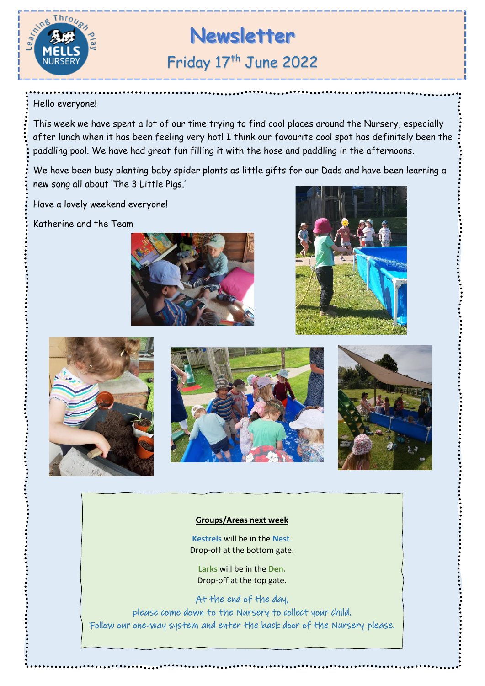

# **Newsletter** Friday 17<sup>th</sup> June 2022

## Hello everyone!

This week we have spent a lot of our time trying to find cool places around the Nursery, especially after lunch when it has been feeling very hot! I think our favourite cool spot has definitely been the paddling pool. We have had great fun filling it with the hose and paddling in the afternoons.

We have been busy planting baby spider plants as little gifts for our Dads and have been learning a new song all about 'The 3 Little Pigs.'

Have a lovely weekend everyone!

Katherine and the Team







### **Groups/Areas next week**

**Kestrels** will be in the **Nest**. Drop-off at the bottom gate.

**Larks** will be in the **Den.** Drop-off at the top gate.

At the end of the day, please come down to the Nursery to collect your child. Follow our one-way system and enter the back door of the Nursery please.